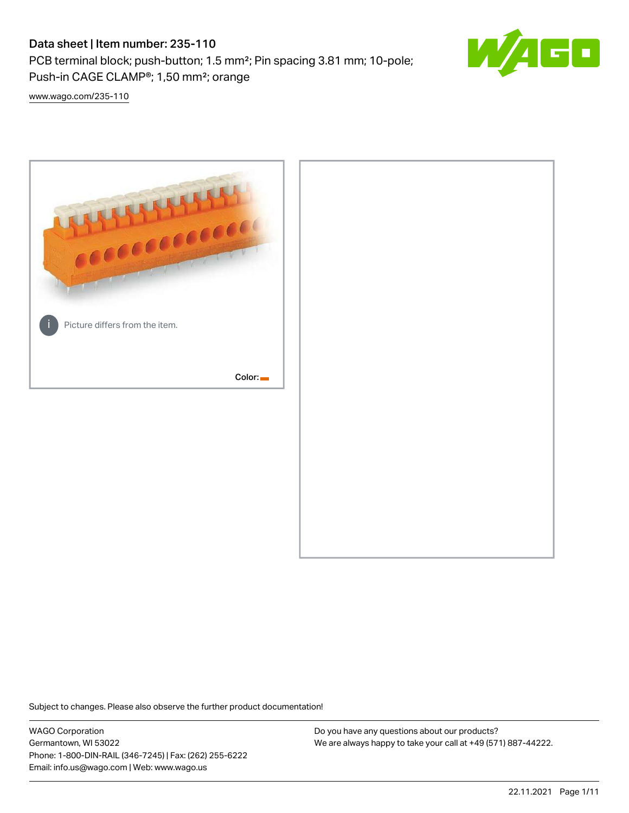# Data sheet | Item number: 235-110

PCB terminal block; push-button; 1.5 mm²; Pin spacing 3.81 mm; 10-pole; Push-in CAGE CLAMP®; 1,50 mm²; orange



[www.wago.com/235-110](http://www.wago.com/235-110)



Subject to changes. Please also observe the further product documentation!

WAGO Corporation Germantown, WI 53022 Phone: 1-800-DIN-RAIL (346-7245) | Fax: (262) 255-6222 Email: info.us@wago.com | Web: www.wago.us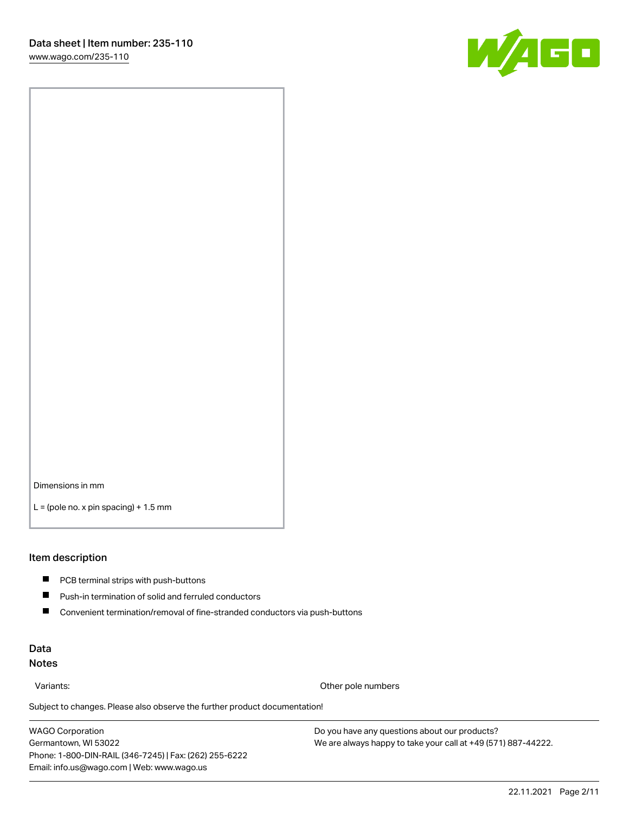

Dimensions in mm

 $L =$  (pole no. x pin spacing) + 1.5 mm

#### Item description

- **PCB terminal strips with push-buttons**
- $\blacksquare$ Push-in termination of solid and ferruled conductors
- $\blacksquare$ Convenient termination/removal of fine-stranded conductors via push-buttons

#### Data Notes

Variants: Other pole numbers

Subject to changes. Please also observe the further product documentation! Other colors

WAGO Corporation Germantown, WI 53022 Phone: 1-800-DIN-RAIL (346-7245) | Fax: (262) 255-6222 Email: info.us@wago.com | Web: www.wago.us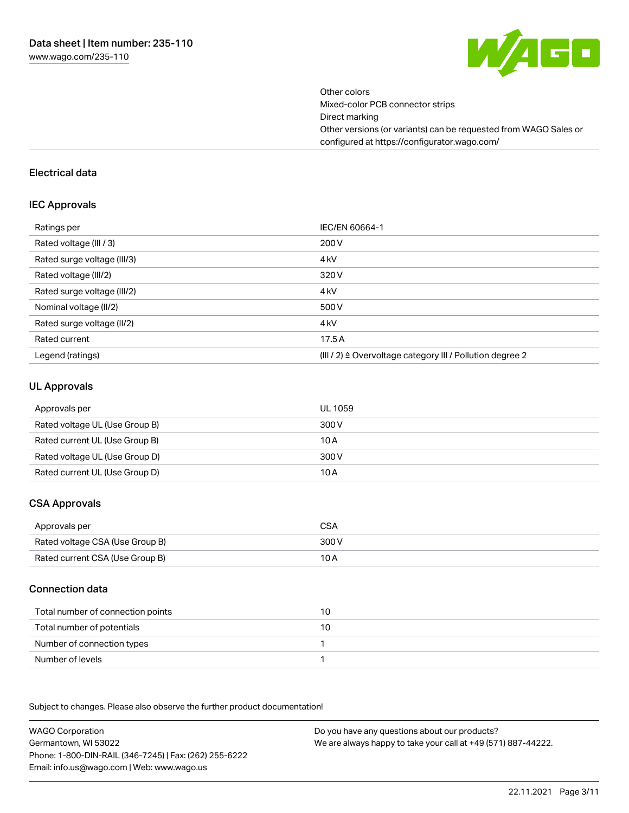

Other colors Mixed-color PCB connector strips Direct marking Other versions (or variants) can be requested from WAGO Sales or configured at https://configurator.wago.com/

#### Electrical data

#### IEC Approvals

| Ratings per                 | IEC/EN 60664-1                                            |
|-----------------------------|-----------------------------------------------------------|
| Rated voltage (III / 3)     | 200 V                                                     |
| Rated surge voltage (III/3) | 4 <sub>k</sub> V                                          |
| Rated voltage (III/2)       | 320 V                                                     |
| Rated surge voltage (III/2) | 4 <sub>k</sub> V                                          |
| Nominal voltage (II/2)      | 500 V                                                     |
| Rated surge voltage (II/2)  | 4 <sub>k</sub> V                                          |
| Rated current               | 17.5 A                                                    |
| Legend (ratings)            | (III / 2) ≙ Overvoltage category III / Pollution degree 2 |

#### UL Approvals

| Approvals per                  | UL 1059 |
|--------------------------------|---------|
| Rated voltage UL (Use Group B) | 300 V   |
| Rated current UL (Use Group B) | 10 A    |
| Rated voltage UL (Use Group D) | 300 V   |
| Rated current UL (Use Group D) | 10 A    |

# CSA Approvals

| Approvals per                   | CSA   |
|---------------------------------|-------|
| Rated voltage CSA (Use Group B) | 300 V |
| Rated current CSA (Use Group B) | 10 A  |

#### Connection data

| Total number of connection points | 10 |
|-----------------------------------|----|
| Total number of potentials        | 10 |
| Number of connection types        |    |
| Number of levels                  |    |

.<br>Subject to changes. Please also observe the further product documentation!

WAGO Corporation Germantown, WI 53022 Phone: 1-800-DIN-RAIL (346-7245) | Fax: (262) 255-6222 Email: info.us@wago.com | Web: www.wago.us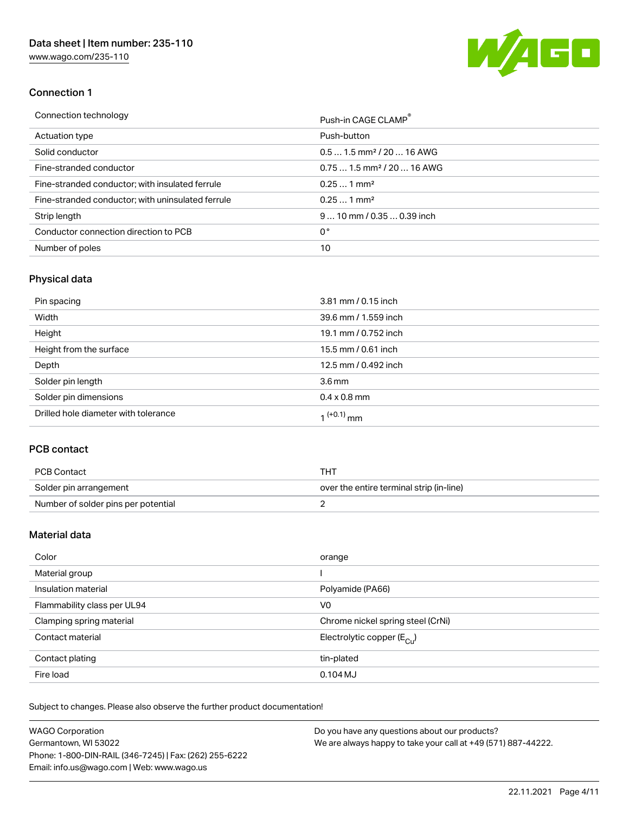

## Connection 1

| Connection technology                             | Push-in CAGE CLAMP®                    |
|---------------------------------------------------|----------------------------------------|
| Actuation type                                    | Push-button                            |
| Solid conductor                                   | $0.51.5$ mm <sup>2</sup> / 20  16 AWG  |
| Fine-stranded conductor                           | $0.751.5$ mm <sup>2</sup> / 20  16 AWG |
| Fine-stranded conductor; with insulated ferrule   | $0.251$ mm <sup>2</sup>                |
| Fine-stranded conductor; with uninsulated ferrule | $0.251$ mm <sup>2</sup>                |
| Strip length                                      | $9 10$ mm $/ 0.35 0.39$ inch           |
| Conductor connection direction to PCB             | 0°                                     |
| Number of poles                                   | 10                                     |

# Physical data

| Pin spacing                          | 3.81 mm / 0.15 inch    |
|--------------------------------------|------------------------|
| Width                                | 39.6 mm / 1.559 inch   |
| Height                               | 19.1 mm / 0.752 inch   |
| Height from the surface              | 15.5 mm / 0.61 inch    |
| Depth                                | 12.5 mm / 0.492 inch   |
| Solder pin length                    | 3.6 <sub>mm</sub>      |
| Solder pin dimensions                | $0.4 \times 0.8$ mm    |
| Drilled hole diameter with tolerance | 1 <sup>(+0.1)</sup> mm |

## PCB contact

| PCB Contact                         | тнт                                      |
|-------------------------------------|------------------------------------------|
| Solder pin arrangement              | over the entire terminal strip (in-line) |
| Number of solder pins per potential |                                          |

# Material data

| Color                       | orange                                |
|-----------------------------|---------------------------------------|
| Material group              |                                       |
| Insulation material         | Polyamide (PA66)                      |
| Flammability class per UL94 | V0                                    |
| Clamping spring material    | Chrome nickel spring steel (CrNi)     |
| Contact material            |                                       |
|                             | Electrolytic copper $(E_{\text{CL}})$ |
| Contact plating             | tin-plated                            |

Subject to changes. Please also observe the further product documentation! Weight 6 g

| <b>WAGO Corporation</b>                                | Do you have any questions about our products?                 |
|--------------------------------------------------------|---------------------------------------------------------------|
| Germantown, WI 53022                                   | We are always happy to take your call at +49 (571) 887-44222. |
| Phone: 1-800-DIN-RAIL (346-7245)   Fax: (262) 255-6222 |                                                               |
| Email: info.us@wago.com   Web: www.wago.us             |                                                               |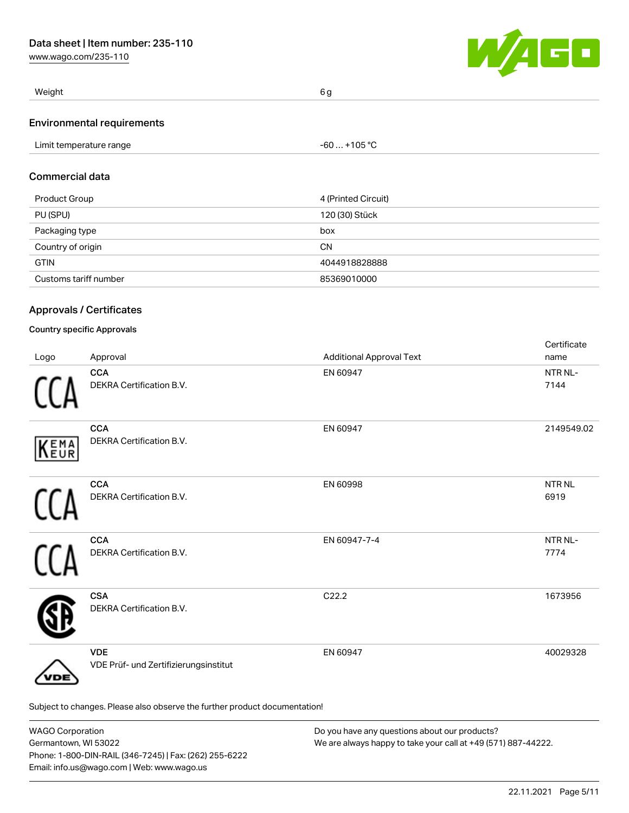

| Weight                            | 6 a |
|-----------------------------------|-----|
| <b>Environmental requirements</b> |     |

# Commercial data

| Product Group         | 4 (Printed Circuit) |
|-----------------------|---------------------|
| PU (SPU)              | 120 (30) Stück      |
| Packaging type        | box                 |
| Country of origin     | <b>CN</b>           |
| <b>GTIN</b>           | 4044918828888       |
| Customs tariff number | 85369010000         |

# Approvals / Certificates

#### Country specific Approvals

| Logo | Approval                                                                   | <b>Additional Approval Text</b> | Certificate<br>name  |
|------|----------------------------------------------------------------------------|---------------------------------|----------------------|
|      | <b>CCA</b><br>DEKRA Certification B.V.                                     | EN 60947                        | NTR NL-<br>7144      |
| KEMA | <b>CCA</b><br>DEKRA Certification B.V.                                     | EN 60947                        | 2149549.02           |
|      | <b>CCA</b><br>DEKRA Certification B.V.                                     | EN 60998                        | <b>NTRNL</b><br>6919 |
|      | <b>CCA</b><br>DEKRA Certification B.V.                                     | EN 60947-7-4                    | NTR NL-<br>7774      |
|      | <b>CSA</b><br>DEKRA Certification B.V.                                     | C22.2                           | 1673956              |
| DE   | <b>VDE</b><br>VDE Prüf- und Zertifizierungsinstitut                        | EN 60947                        | 40029328             |
|      | Subject to changes. Please also observe the further product documentation! |                                 |                      |

| <b>WAGO Corporation</b>                                | Do you have any questions about our products?                 |
|--------------------------------------------------------|---------------------------------------------------------------|
| Germantown, WI 53022                                   | We are always happy to take your call at +49 (571) 887-44222. |
| Phone: 1-800-DIN-RAIL (346-7245)   Fax: (262) 255-6222 |                                                               |
| Email: info.us@wago.com   Web: www.wago.us             |                                                               |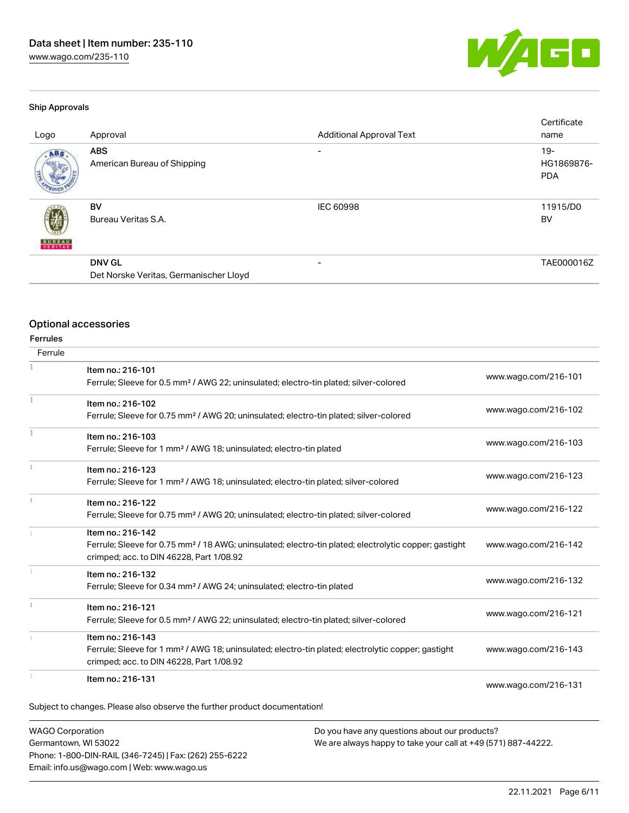

#### Ship Approvals

| Logo          | Approval                                                | <b>Additional Approval Text</b> | Certificate<br>name               |
|---------------|---------------------------------------------------------|---------------------------------|-----------------------------------|
| ABS.          | <b>ABS</b><br>American Bureau of Shipping               | $\overline{\phantom{a}}$        | $19-$<br>HG1869876-<br><b>PDA</b> |
| <b>BUREAU</b> | <b>BV</b><br>Bureau Veritas S.A.                        | <b>IEC 60998</b>                | 11915/D0<br>BV                    |
|               | <b>DNV GL</b><br>Det Norske Veritas, Germanischer Lloyd | -                               | TAE000016Z                        |

#### Optional accessories

Ferrules

| Item no.: 216-101<br>Ferrule; Sleeve for 0.5 mm <sup>2</sup> / AWG 22; uninsulated; electro-tin plated; silver-colored                                                             | www.wago.com/216-101                          |
|------------------------------------------------------------------------------------------------------------------------------------------------------------------------------------|-----------------------------------------------|
| Item no.: 216-102<br>Ferrule; Sleeve for 0.75 mm <sup>2</sup> / AWG 20; uninsulated; electro-tin plated; silver-colored                                                            | www.wago.com/216-102                          |
| Item no.: 216-103<br>Ferrule; Sleeve for 1 mm <sup>2</sup> / AWG 18; uninsulated; electro-tin plated                                                                               | www.wago.com/216-103                          |
| Item no.: 216-123<br>Ferrule; Sleeve for 1 mm <sup>2</sup> / AWG 18; uninsulated; electro-tin plated; silver-colored                                                               | www.wago.com/216-123                          |
| Item no.: 216-122<br>Ferrule; Sleeve for 0.75 mm <sup>2</sup> / AWG 20; uninsulated; electro-tin plated; silver-colored                                                            | www.wago.com/216-122                          |
| Item no.: 216-142<br>Ferrule; Sleeve for 0.75 mm <sup>2</sup> / 18 AWG; uninsulated; electro-tin plated; electrolytic copper; gastight<br>crimped; acc. to DIN 46228, Part 1/08.92 | www.wago.com/216-142                          |
| Item no.: 216-132<br>Ferrule; Sleeve for 0.34 mm <sup>2</sup> / AWG 24; uninsulated; electro-tin plated                                                                            | www.wago.com/216-132                          |
| Item no.: 216-121<br>Ferrule; Sleeve for 0.5 mm <sup>2</sup> / AWG 22; uninsulated; electro-tin plated; silver-colored                                                             | www.wago.com/216-121                          |
| Item no.: 216-143<br>Ferrule; Sleeve for 1 mm <sup>2</sup> / AWG 18; uninsulated; electro-tin plated; electrolytic copper; gastight<br>crimped; acc. to DIN 46228, Part 1/08.92    | www.wago.com/216-143                          |
| Item no.: 216-131                                                                                                                                                                  | www.wago.com/216-131                          |
| Subject to changes. Please also observe the further product documentation!                                                                                                         |                                               |
| <b>WAGO Corporation</b>                                                                                                                                                            |                                               |
|                                                                                                                                                                                    | Do you have any questions about our products? |

Germantown, WI 53022 Phone: 1-800-DIN-RAIL (346-7245) | Fax: (262) 255-6222 Email: info.us@wago.com | Web: www.wago.us

We are always happy to take your call at +49 (571) 887-44222.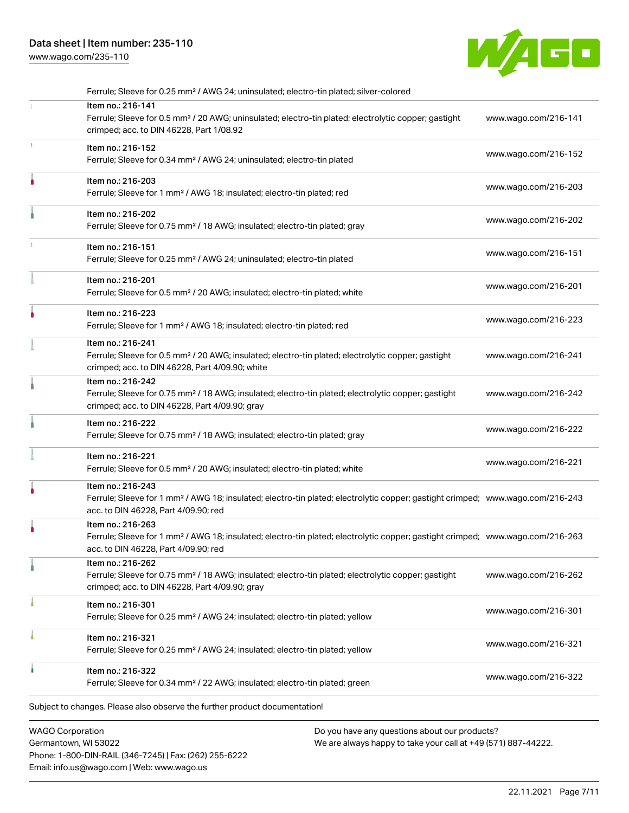# Data sheet | Item number: 235-110

[www.wago.com/235-110](http://www.wago.com/235-110)



|   | <b>WAGO Corporation</b>                                                                                                                                                                                                                                                                 | Do you have any questions about our products? |
|---|-----------------------------------------------------------------------------------------------------------------------------------------------------------------------------------------------------------------------------------------------------------------------------------------|-----------------------------------------------|
|   | Subject to changes. Please also observe the further product documentation!                                                                                                                                                                                                              |                                               |
| ۸ | Item no.: 216-322<br>Ferrule; Sleeve for 0.34 mm <sup>2</sup> / 22 AWG; insulated; electro-tin plated; green                                                                                                                                                                            | www.wago.com/216-322                          |
|   | Item no.: 216-321<br>Ferrule; Sleeve for 0.25 mm <sup>2</sup> / AWG 24; insulated; electro-tin plated; yellow                                                                                                                                                                           | www.wago.com/216-321                          |
|   | Item no.: 216-301<br>Ferrule; Sleeve for 0.25 mm <sup>2</sup> / AWG 24; insulated; electro-tin plated; yellow                                                                                                                                                                           | www.wago.com/216-301                          |
|   | Item no.: 216-262<br>Ferrule; Sleeve for 0.75 mm <sup>2</sup> / 18 AWG; insulated; electro-tin plated; electrolytic copper; gastight<br>crimped; acc. to DIN 46228, Part 4/09.90; gray                                                                                                  | www.wago.com/216-262                          |
|   | Item no.: 216-263<br>Ferrule; Sleeve for 1 mm <sup>2</sup> / AWG 18; insulated; electro-tin plated; electrolytic copper; gastight crimped; www.wago.com/216-263<br>acc. to DIN 46228, Part 4/09.90; red                                                                                 |                                               |
|   | Item no.: 216-243<br>Ferrule; Sleeve for 1 mm <sup>2</sup> / AWG 18; insulated; electro-tin plated; electrolytic copper; gastight crimped; www.wago.com/216-243<br>acc. to DIN 46228, Part 4/09.90; red                                                                                 |                                               |
|   | Item no.: 216-221<br>Ferrule; Sleeve for 0.5 mm <sup>2</sup> / 20 AWG; insulated; electro-tin plated; white                                                                                                                                                                             | www.wago.com/216-221                          |
|   | Item no.: 216-222<br>Ferrule; Sleeve for 0.75 mm <sup>2</sup> / 18 AWG; insulated; electro-tin plated; gray                                                                                                                                                                             | www.wago.com/216-222                          |
|   | Item no.: 216-242<br>Ferrule; Sleeve for 0.75 mm <sup>2</sup> / 18 AWG; insulated; electro-tin plated; electrolytic copper; gastight<br>crimped; acc. to DIN 46228, Part 4/09.90; gray                                                                                                  | www.wago.com/216-242                          |
|   | Item no.: 216-241<br>Ferrule; Sleeve for 0.5 mm <sup>2</sup> / 20 AWG; insulated; electro-tin plated; electrolytic copper; gastight<br>crimped; acc. to DIN 46228, Part 4/09.90; white                                                                                                  | www.wago.com/216-241                          |
|   | Item no.: 216-223<br>Ferrule; Sleeve for 1 mm <sup>2</sup> / AWG 18; insulated; electro-tin plated; red                                                                                                                                                                                 | www.wago.com/216-223                          |
|   | Item no.: 216-201<br>Ferrule; Sleeve for 0.5 mm <sup>2</sup> / 20 AWG; insulated; electro-tin plated; white                                                                                                                                                                             | www.wago.com/216-201                          |
|   | Item no.: 216-151<br>Ferrule; Sleeve for 0.25 mm <sup>2</sup> / AWG 24; uninsulated; electro-tin plated                                                                                                                                                                                 | www.wago.com/216-151                          |
|   | Item no.: 216-202<br>Ferrule; Sleeve for 0.75 mm <sup>2</sup> / 18 AWG; insulated; electro-tin plated; gray                                                                                                                                                                             | www.wago.com/216-202                          |
|   | Item no.: 216-203<br>Ferrule; Sleeve for 1 mm <sup>2</sup> / AWG 18; insulated; electro-tin plated; red                                                                                                                                                                                 | www.wago.com/216-203                          |
|   | Item no.: 216-152<br>Ferrule; Sleeve for 0.34 mm <sup>2</sup> / AWG 24; uninsulated; electro-tin plated                                                                                                                                                                                 | www.wago.com/216-152                          |
|   | Ferrule; Sleeve for 0.25 mm <sup>2</sup> / AWG 24; uninsulated; electro-tin plated; silver-colored<br>Item no.: 216-141<br>Ferrule; Sleeve for 0.5 mm <sup>2</sup> / 20 AWG; uninsulated; electro-tin plated; electrolytic copper; gastight<br>crimped; acc. to DIN 46228, Part 1/08.92 | www.wago.com/216-141                          |

Germantown, WI 53022 Phone: 1-800-DIN-RAIL (346-7245) | Fax: (262) 255-6222 Email: info.us@wago.com | Web: www.wago.us

We are always happy to take your call at +49 (571) 887-44222.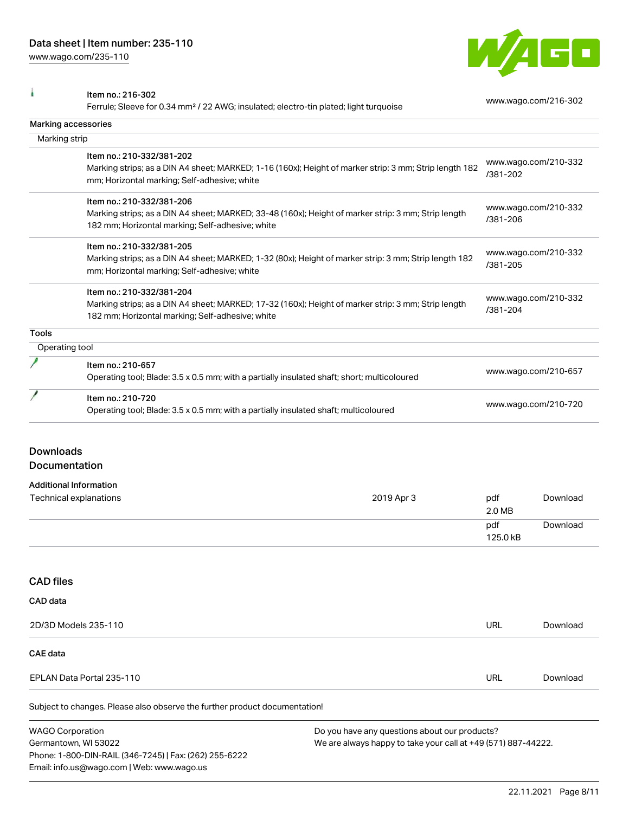

I Item no.: 216-302

Ferrule; Sleeve for 0.34 mm² / 22 AWG; insulated; electro-tin plated; light turquoise [www.wago.com/216-302](http://www.wago.com/216-302)

|                  | Marking accessories                                                                                                                                                                                                                                                                                                                                                        |            |                                                                      |                      |
|------------------|----------------------------------------------------------------------------------------------------------------------------------------------------------------------------------------------------------------------------------------------------------------------------------------------------------------------------------------------------------------------------|------------|----------------------------------------------------------------------|----------------------|
|                  | Marking strip                                                                                                                                                                                                                                                                                                                                                              |            |                                                                      |                      |
|                  | Item no.: 210-332/381-202<br>Marking strips; as a DIN A4 sheet; MARKED; 1-16 (160x); Height of marker strip: 3 mm; Strip length 182<br>mm; Horizontal marking; Self-adhesive; white                                                                                                                                                                                        |            | /381-202                                                             | www.wago.com/210-332 |
|                  | Item no.: 210-332/381-206<br>Marking strips; as a DIN A4 sheet; MARKED; 33-48 (160x); Height of marker strip: 3 mm; Strip length<br>182 mm; Horizontal marking; Self-adhesive; white<br>Item no.: 210-332/381-205<br>Marking strips; as a DIN A4 sheet; MARKED; 1-32 (80x); Height of marker strip: 3 mm; Strip length 182<br>mm; Horizontal marking; Self-adhesive; white |            | www.wago.com/210-332<br>/381-206<br>www.wago.com/210-332<br>/381-205 |                      |
|                  |                                                                                                                                                                                                                                                                                                                                                                            |            |                                                                      |                      |
|                  | Item no.: 210-332/381-204<br>Marking strips; as a DIN A4 sheet; MARKED; 17-32 (160x); Height of marker strip: 3 mm; Strip length<br>182 mm; Horizontal marking; Self-adhesive; white                                                                                                                                                                                       |            | www.wago.com/210-332<br>/381-204                                     |                      |
| <b>Tools</b>     |                                                                                                                                                                                                                                                                                                                                                                            |            |                                                                      |                      |
|                  | Operating tool                                                                                                                                                                                                                                                                                                                                                             |            |                                                                      |                      |
|                  | Item no.: 210-657<br>Operating tool; Blade: 3.5 x 0.5 mm; with a partially insulated shaft; short; multicoloured                                                                                                                                                                                                                                                           |            | www.wago.com/210-657                                                 |                      |
|                  | Item no.: 210-720<br>Operating tool; Blade: 3.5 x 0.5 mm; with a partially insulated shaft; multicoloured                                                                                                                                                                                                                                                                  |            |                                                                      | www.wago.com/210-720 |
| <b>Downloads</b> | Documentation                                                                                                                                                                                                                                                                                                                                                              |            |                                                                      |                      |
|                  | <b>Additional Information</b>                                                                                                                                                                                                                                                                                                                                              |            |                                                                      |                      |
|                  | Technical explanations                                                                                                                                                                                                                                                                                                                                                     | 2019 Apr 3 | pdf<br>2.0 MB                                                        | Download             |
|                  |                                                                                                                                                                                                                                                                                                                                                                            |            | pdf<br>125.0 kB                                                      | Download             |
| <b>CAD</b> files |                                                                                                                                                                                                                                                                                                                                                                            |            |                                                                      |                      |
| CAD data         |                                                                                                                                                                                                                                                                                                                                                                            |            |                                                                      |                      |
|                  | 2D/3D Models 235-110                                                                                                                                                                                                                                                                                                                                                       |            | URL                                                                  | Download             |
| <b>CAE</b> data  |                                                                                                                                                                                                                                                                                                                                                                            |            |                                                                      |                      |
|                  | EPLAN Data Portal 235-110                                                                                                                                                                                                                                                                                                                                                  |            | <b>URL</b>                                                           | Download             |
|                  | Subject to changes. Please also observe the further product documentation!                                                                                                                                                                                                                                                                                                 |            |                                                                      |                      |
|                  | <b>WAGO Corporation</b><br>Do you have any questions about our products?                                                                                                                                                                                                                                                                                                   |            |                                                                      |                      |

Germantown, WI 53022 Phone: 1-800-DIN-RAIL (346-7245) | Fax: (262) 255-6222 Email: info.us@wago.com | Web: www.wago.us

We are always happy to take your call at +49 (571) 887-44222.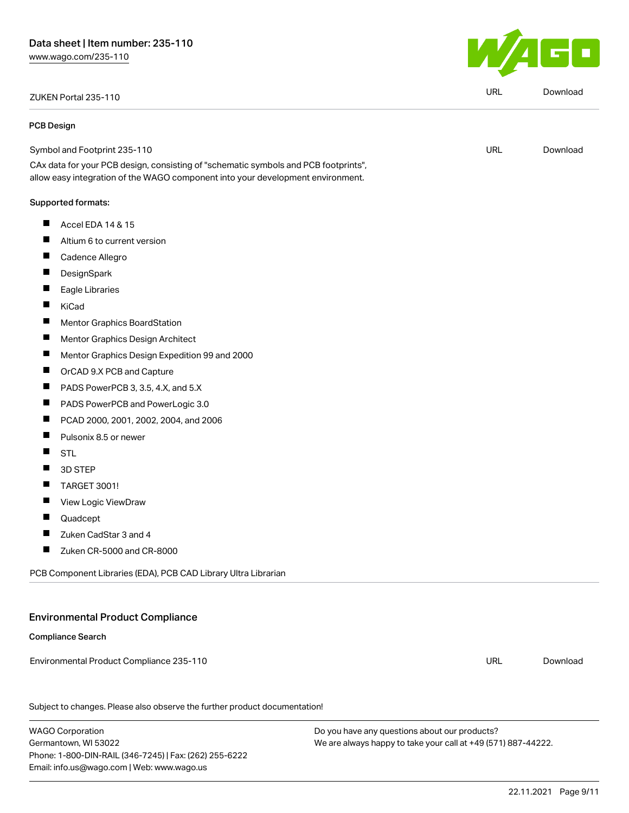# ZUKEN Portal 235-110 URL [Download](https://www.wago.com/global/d/Zuken_URLS_235-110)

#### PCB Design

Symbol and Footprint 235-110

CAx data for your PCB design, consisting of "schematic symbols and PCB footprints", allow easy integration of the WAGO component into your development environment.

#### Supported formats:

- $\blacksquare$ Accel EDA 14 & 15
- П Altium 6 to current version
- П Cadence Allegro
- П **DesignSpark**
- $\blacksquare$ Eagle Libraries
- $\blacksquare$ KiCad
- $\blacksquare$ Mentor Graphics BoardStation
- П Mentor Graphics Design Architect
- П Mentor Graphics Design Expedition 99 and 2000
- $\blacksquare$ OrCAD 9.X PCB and Capture
- $\blacksquare$ PADS PowerPCB 3, 3.5, 4.X, and 5.X
- $\blacksquare$ PADS PowerPCB and PowerLogic 3.0
- П PCAD 2000, 2001, 2002, 2004, and 2006
- П Pulsonix 8.5 or newer
- П **STL**
- П 3D STEP
- $\blacksquare$ TARGET 3001!
- $\blacksquare$ View Logic ViewDraw
- П Quadcept
- П Zuken CadStar 3 and 4
- П Zuken CR-5000 and CR-8000

PCB Component Libraries (EDA), PCB CAD Library Ultra Librarian

# Environmental Product Compliance

#### Compliance Search

Environmental Product Compliance 235-110

Subject to changes. Please also observe the further product documentation!

WAGO Corporation Germantown, WI 53022 Phone: 1-800-DIN-RAIL (346-7245) | Fax: (262) 255-6222 Email: info.us@wago.com | Web: www.wago.us

Do you have any questions about our products? We are always happy to take your call at +49 (571) 887-44222.



URL [Download](https://www.wago.com/global/d/UltraLibrarian_URLS_235-110)

URL [Download](https://www.wago.com/global/d/ComplianceLinkMediaContainer_235-110)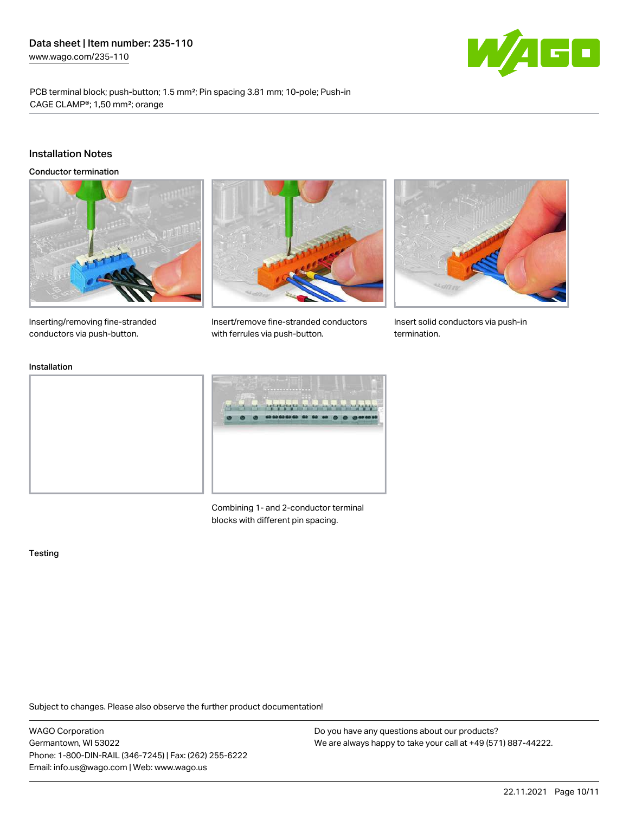

PCB terminal block; push-button; 1.5 mm²; Pin spacing 3.81 mm; 10-pole; Push-in CAGE CLAMP®; 1,50 mm²; orange

#### Installation Notes

Conductor termination





Insert/remove fine-stranded conductors

with ferrules via push-button.



Insert solid conductors via push-in termination.

Inserting/removing fine-stranded conductors via push-button.

#### Installation



Combining 1- and 2-conductor terminal blocks with different pin spacing.

#### **Testing**

Subject to changes. Please also observe the further product documentation!

WAGO Corporation Germantown, WI 53022 Phone: 1-800-DIN-RAIL (346-7245) | Fax: (262) 255-6222 Email: info.us@wago.com | Web: www.wago.us